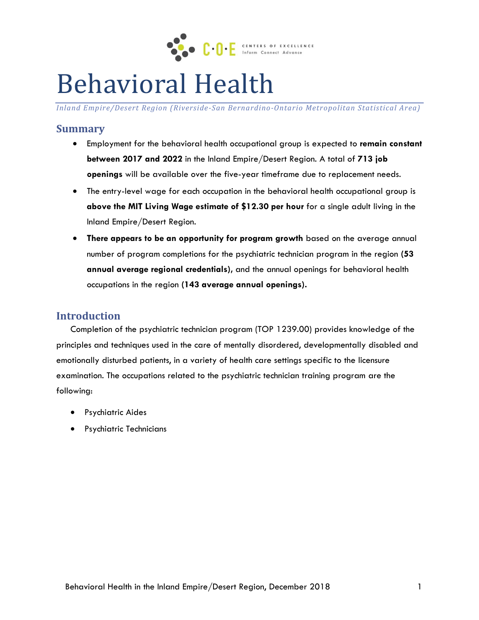

# Behavioral Health

*Inland Empire/Desert Region (Riverside-San Bernardino-Ontario Metropolitan Statistical Area)*

# **Summary**

- Employment for the behavioral health occupational group is expected to **remain constant between 2017 and 2022** in the Inland Empire/Desert Region. A total of **713 job openings** will be available over the five-year timeframe due to replacement needs.
- The entry-level wage for each occupation in the behavioral health occupational group is **above the MIT Living Wage estimate of \$12.30 per hour** for a single adult living in the Inland Empire/Desert Region.
- **There appears to be an opportunity for program growth** based on the average annual number of program completions for the psychiatric technician program in the region **(53 annual average regional credentials),** and the annual openings for behavioral health occupations in the region **(143 average annual openings).**

# **Introduction**

Completion of the psychiatric technician program (TOP 1239.00) provides knowledge of the principles and techniques used in the care of mentally disordered, developmentally disabled and emotionally disturbed patients, in a variety of health care settings specific to the licensure examination. The occupations related to the psychiatric technician training program are the following:

- **•** Psychiatric Aides
- **•** Psychiatric Technicians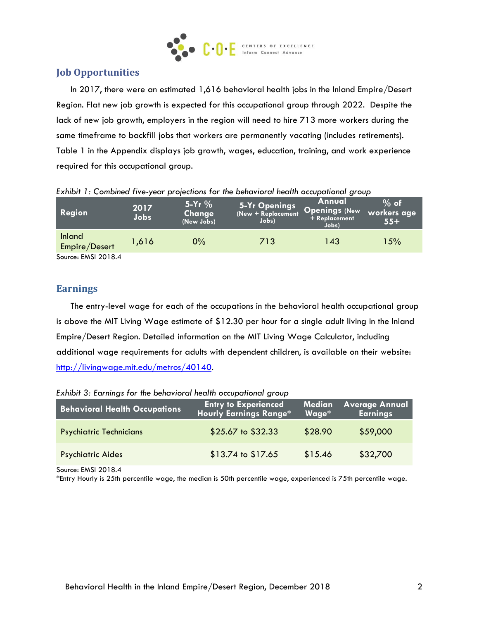

# **Job Opportunities**

In 2017, there were an estimated 1,616 behavioral health jobs in the Inland Empire/Desert Region. Flat new job growth is expected for this occupational group through 2022. Despite the lack of new job growth, employers in the region will need to hire 713 more workers during the same timeframe to backfill jobs that workers are permanently vacating (includes retirements). Table 1 in the Appendix displays job growth, wages, education, training, and work experience required for this occupational group.

| Region                         | 2017<br>Jobs | $5-Yr$ %<br>Change<br>(New Jobs) | 5-Yr Openings<br>(New + Replacement<br>Jobs) | Annual<br>Openings (New<br>+ Replacement<br>Jobs) | $%$ of<br>workers age<br>$55+$ |
|--------------------------------|--------------|----------------------------------|----------------------------------------------|---------------------------------------------------|--------------------------------|
| <b>Inland</b><br>Empire/Desert | 1,616        | 0%                               | 713                                          | 143                                               | 15%                            |
| Source: EMSI 2018.4            |              |                                  |                                              |                                                   |                                |

*Exhibit 1: Combined five-year projections for the behavioral health occupational group*

# **Earnings**

The entry-level wage for each of the occupations in the behavioral health occupational group is above the MIT Living Wage estimate of \$12.30 per hour for a single adult living in the Inland Empire/Desert Region. Detailed information on the MIT Living Wage Calculator, including additional wage requirements for adults with dependent children, is available on their website: [http://livingwage.mit.edu/metros/40140.](http://livingwage.mit.edu/metros/40140)

*Exhibit 3: Earnings for the behavioral health occupational group*

| <b>Behavioral Health Occupations</b> | <b>Entry to Experienced</b>   | Median  | <b>Average Annual</b> |
|--------------------------------------|-------------------------------|---------|-----------------------|
|                                      | <b>Hourly Earnings Range*</b> | Wage*   | <b>Earnings</b>       |
| <b>Psychiatric Technicians</b>       | \$25.67 to \$32.33            | \$28.90 | \$59,000              |
| <b>Psychiatric Aides</b>             | \$13.74 to \$17.65            | \$15.46 | \$32,700              |
| Source: FMSI 2018 4                  |                               |         |                       |

Source: EMSI 2018.4

\*Entry Hourly is 25th percentile wage, the median is 50th percentile wage, experienced is 75th percentile wage.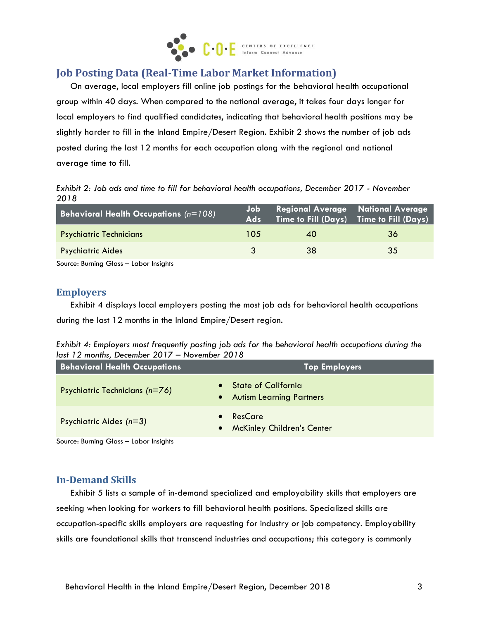

# **Job Posting Data (Real-Time Labor Market Information)**

On average, local employers fill online job postings for the behavioral health occupational group within 40 days. When compared to the national average, it takes four days longer for local employers to find qualified candidates, indicating that behavioral health positions may be slightly harder to fill in the Inland Empire/Desert Region. Exhibit 2 shows the number of job ads posted during the last 12 months for each occupation along with the regional and national average time to fill.

*Exhibit 2: Job ads and time to fill for behavioral health occupations, December 2017 - November 2018*

| <b>Behavioral Health Occupations</b> ( $n=108$ ) | Job.<br><b>Ads</b> | Regional Average National Average | Time to Fill (Days) Time to Fill (Days) |
|--------------------------------------------------|--------------------|-----------------------------------|-----------------------------------------|
| <b>Psychiatric Technicians</b>                   | 105                | 40                                | 36                                      |
| <b>Psychiatric Aides</b>                         |                    | 38                                | 35                                      |
| .                                                |                    |                                   |                                         |

Source: Burning Glass – Labor Insights

#### **Employers**

Exhibit 4 displays local employers posting the most job ads for behavioral health occupations during the last 12 months in the Inland Empire/Desert region.

| Exhibit 4: Employers most frequently posting job ads for the behavioral health occupations during the |  |  |  |
|-------------------------------------------------------------------------------------------------------|--|--|--|
| last 12 months, December 2017 – November 2018                                                         |  |  |  |

| <b>Behavioral Health Occupations</b> | <b>Top Employers</b>                                                                    |
|--------------------------------------|-----------------------------------------------------------------------------------------|
| Psychiatric Technicians (n=76)       | <b>State of California</b><br>$\bullet$<br><b>Autism Learning Partners</b><br>$\bullet$ |
| Psychiatric Aides $(n=3)$            | ResCare<br><b>McKinley Children's Center</b><br>$\bullet$                               |

Source: Burning Glass – Labor Insights

#### **In-Demand Skills**

Exhibit 5 lists a sample of in-demand specialized and employability skills that employers are seeking when looking for workers to fill behavioral health positions. Specialized skills are occupation-specific skills employers are requesting for industry or job competency. Employability skills are foundational skills that transcend industries and occupations; this category is commonly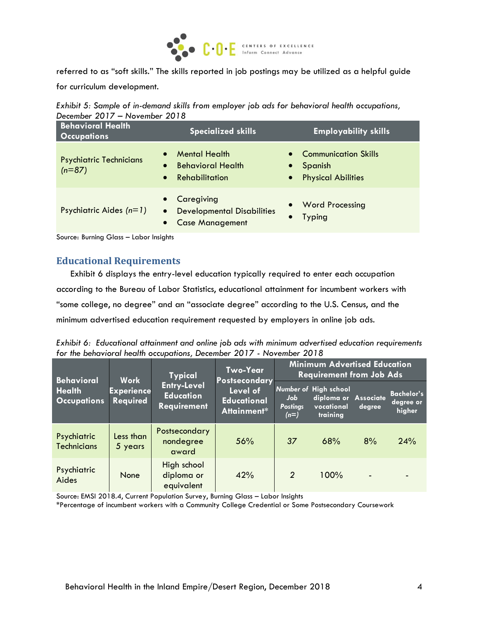

referred to as "soft skills." The skills reported in job postings may be utilized as a helpful guide for curriculum development.

*Exhibit 5: Sample of in-demand skills from employer job ads for behavioral health occupations, December 2017 – November 2018*

| <b>Behavioral Health</b><br><b>Occupations</b> | <b>Specialized skills</b>                                                                                        | <b>Employability skills</b>                                                              |
|------------------------------------------------|------------------------------------------------------------------------------------------------------------------|------------------------------------------------------------------------------------------|
| <b>Psychiatric Technicians</b><br>$(n=87)$     | <b>Mental Health</b><br>$\bullet$<br><b>Behavioral Health</b><br>$\bullet$<br>Rehabilitation<br>$\bullet$        | • Communication Skills<br>Spanish<br>$\bullet$<br><b>Physical Abilities</b><br>$\bullet$ |
| Psychiatric Aides $(n=1)$                      | Caregiving<br>$\bullet$<br><b>Developmental Disabilities</b><br>$\bullet$<br><b>Case Management</b><br>$\bullet$ | <b>Word Processing</b><br>$\bullet$<br><b>Typing</b>                                     |

Source: Burning Glass – Labor Insights

#### **Educational Requirements**

Exhibit 6 displays the entry-level education typically required to enter each occupation according to the Bureau of Labor Statistics, educational attainment for incumbent workers with "some college, no degree" and an "associate degree" according to the U.S. Census, and the minimum advertised education requirement requested by employers in online job ads.

*Exhibit 6: Educational attainment and online job ads with minimum advertised education requirements for the behavioral health occupations, December 2017 - November 2018*

| <b>Behavioral</b>                   | <b>Work</b>                   | <b>Typical</b>                                               | Two-Year<br>Postsecondary                     |                                  | <b>Minimum Advertised Education</b><br><b>Requirement from Job Ads</b>         |                |                                          |  |
|-------------------------------------|-------------------------------|--------------------------------------------------------------|-----------------------------------------------|----------------------------------|--------------------------------------------------------------------------------|----------------|------------------------------------------|--|
| <b>Health</b><br><b>Occupations</b> | <b>Experience</b><br>Required | <b>Entry-Level</b><br><b>Education</b><br><b>Requirement</b> | Level of<br><b>Educational</b><br>Attainment* | Job<br><b>Postings</b><br>$(n=)$ | <b>Number of High school</b><br>diploma or Associate<br>vocational<br>training | degree         | <b>Bachelor's</b><br>degree or<br>higher |  |
| Psychiatric<br><b>Technicians</b>   | Less than<br>5 years          | Postsecondary<br>nondegree<br>award                          | 56%                                           | 37                               | 68%                                                                            | 8%             | 24%                                      |  |
| Psychiatric<br>Aides                | None                          | High school<br>diploma or<br>equivalent                      | 42%                                           | $\overline{2}$                   | 100%                                                                           | $\blacksquare$ |                                          |  |

Source: EMSI 2018.4, Current Population Survey, Burning Glass – Labor Insights

\*Percentage of incumbent workers with a Community College Credential or Some Postsecondary Coursework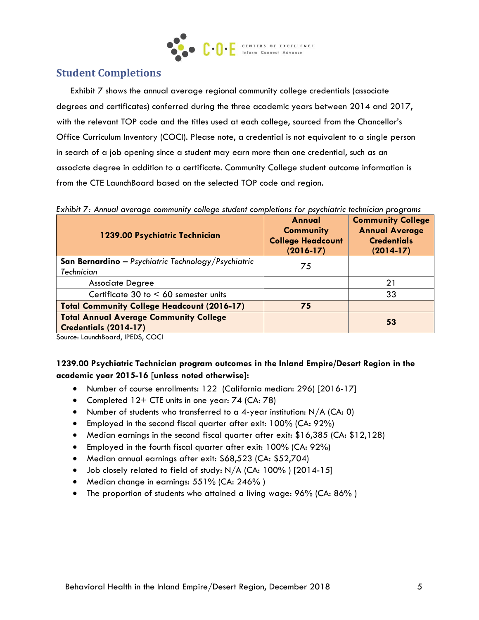

# **Student Completions**

Exhibit 7 shows the annual average regional community college credentials (associate degrees and certificates) conferred during the three academic years between 2014 and 2017, with the relevant TOP code and the titles used at each college, sourced from the Chancellor's Office Curriculum Inventory (COCI). Please note, a credential is not equivalent to a single person in search of a job opening since a student may earn more than one credential, such as an associate degree in addition to a certificate. Community College student outcome information is from the CTE LaunchBoard based on the selected TOP code and region.

*Exhibit 7: Annual average community college student completions for psychiatric technician programs*

| 1239.00 Psychiatric Technician                                                  | Annual<br><b>Community</b><br><b>College Headcount</b><br>$(2016 - 17)$ | <b>Community College</b><br><b>Annual Average</b><br><b>Credentials</b><br>$(2014-17)$ |
|---------------------------------------------------------------------------------|-------------------------------------------------------------------------|----------------------------------------------------------------------------------------|
| <b>San Bernardino</b> - Psychiatric Technology/Psychiatric<br><b>Technician</b> | 75                                                                      |                                                                                        |
| <b>Associate Degree</b>                                                         |                                                                         | 21                                                                                     |
| Certificate 30 to $< 60$ semester units                                         |                                                                         | 33                                                                                     |
| <b>Total Community College Headcount (2016-17)</b>                              | 75                                                                      |                                                                                        |
| <b>Total Annual Average Community College</b><br>Credentials (2014-17)          |                                                                         | 53                                                                                     |

Source: LaunchBoard, IPEDS, COCI

### **1239.00 Psychiatric Technician program outcomes in the Inland Empire/Desert Region in the academic year 2015-16 [unless noted otherwise]:**

- Number of course enrollments: 122 (California median: 296) [2016-17]
- Completed 12+ CTE units in one year: 74 (CA: 78)
- Number of students who transferred to a 4-year institution:  $N/A$  (CA: 0)
- Employed in the second fiscal quarter after exit: 100% (CA: 92%)
- Median earnings in the second fiscal quarter after exit: \$16,385 (CA: \$12,128)
- Employed in the fourth fiscal quarter after exit: 100% (CA: 92%)
- Median annual earnings after exit: \$68,523 (CA: \$52,704)
- $\bullet$  Job closely related to field of study: N/A (CA: 100%) [2014-15]
- Median change in earnings: 551% (CA: 246%)
- The proportion of students who attained a living wage: 96% (CA: 86% )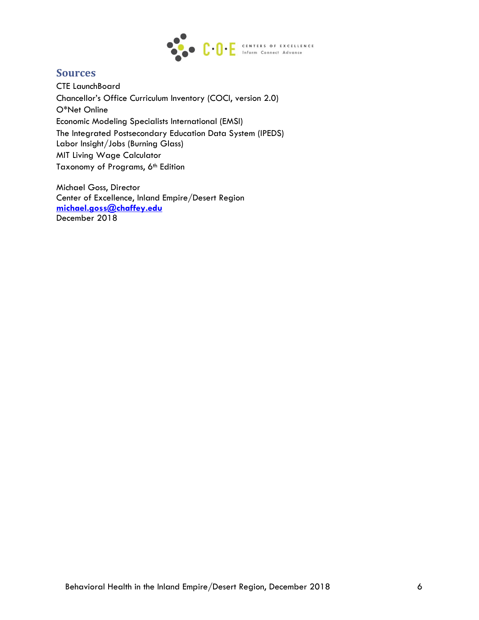

# **Sources**

CTE LaunchBoard Chancellor's Office Curriculum Inventory (COCI, version 2.0) O\*Net Online Economic Modeling Specialists International (EMSI) The Integrated Postsecondary Education Data System (IPEDS) Labor Insight/Jobs (Burning Glass) MIT Living Wage Calculator Taxonomy of Programs, 6<sup>th</sup> Edition

Michael Goss, Director Center of Excellence, Inland Empire/Desert Region **[michael.goss@chaffey.edu](mailto:michael.goss@chaffey.edu)** December 2018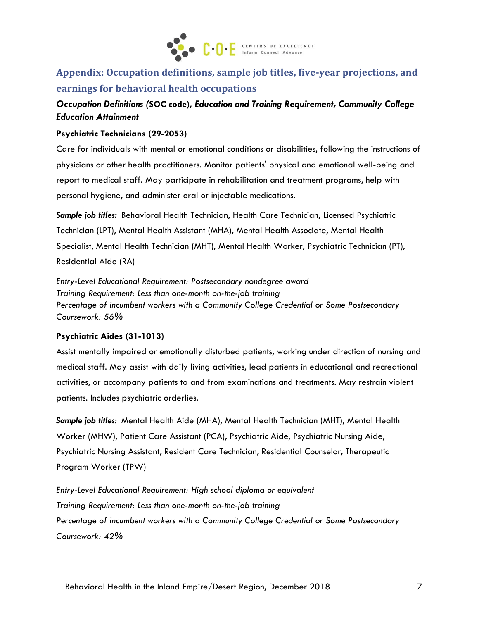

# **Appendix: Occupation definitions, sample job titles, five-year projections, and earnings for behavioral health occupations**

# *Occupation Definitions (***SOC code),** *Education and Training Requirement, Community College Education Attainment*

#### **Psychiatric Technicians (29-2053)**

Care for individuals with mental or emotional conditions or disabilities, following the instructions of physicians or other health practitioners. Monitor patients' physical and emotional well-being and report to medical staff. May participate in rehabilitation and treatment programs, help with personal hygiene, and administer oral or injectable medications.

*Sample job titles:* Behavioral Health Technician, Health Care Technician, Licensed Psychiatric Technician (LPT), Mental Health Assistant (MHA), Mental Health Associate, Mental Health Specialist, Mental Health Technician (MHT), Mental Health Worker, Psychiatric Technician (PT), Residential Aide (RA)

*Entry-Level Educational Requirement: Postsecondary nondegree award Training Requirement: Less than one-month on-the-job training Percentage of incumbent workers with a Community College Credential or Some Postsecondary Coursework: 56%*

#### **Psychiatric Aides (31-1013)**

Assist mentally impaired or emotionally disturbed patients, working under direction of nursing and medical staff. May assist with daily living activities, lead patients in educational and recreational activities, or accompany patients to and from examinations and treatments. May restrain violent patients. Includes psychiatric orderlies.

*Sample job titles:* Mental Health Aide (MHA), Mental Health Technician (MHT), Mental Health Worker (MHW), Patient Care Assistant (PCA), Psychiatric Aide, Psychiatric Nursing Aide, Psychiatric Nursing Assistant, Resident Care Technician, Residential Counselor, Therapeutic Program Worker (TPW)

*Entry-Level Educational Requirement: High school diploma or equivalent Training Requirement: Less than one-month on-the-job training Percentage of incumbent workers with a Community College Credential or Some Postsecondary Coursework: 42%*